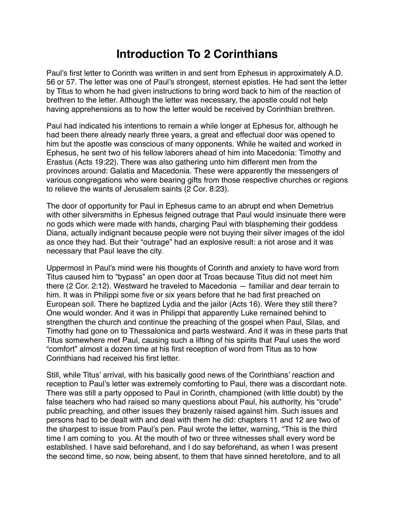## **Introduction To 2 Corinthians**

Paul's first letter to Corinth was written in and sent from Ephesus in approximately A.D. 56 or 57. The letter was one of Paul's strongest, sternest epistles. He had sent the letter by Titus to whom he had given instructions to bring word back to him of the reaction of brethren to the letter. Although the letter was necessary, the apostle could not help having apprehensions as to how the letter would be received by Corinthian brethren.

Paul had indicated his intentions to remain a while longer at Ephesus for, although he had been there already nearly three years, a great and effectual door was opened to him but the apostle was conscious of many opponents. While he waited and worked in Ephesus, he sent two of his fellow laborers ahead of him into Macedonia: Timothy and Erastus (Acts 19:22). There was also gathering unto him different men from the provinces around: Galatia and Macedonia. These were apparently the messengers of various congregations who were bearing gifts from those respective churches or regions to relieve the wants of Jerusalem saints (2 Cor. 8:23).

The door of opportunity for Paul in Ephesus came to an abrupt end when Demetrius with other silversmiths in Ephesus feigned outrage that Paul would insinuate there were no gods which were made with hands, charging Paul with blaspheming their goddess Diana, actually indignant because people were not buying their silver images of the idol as once they had. But their "outrage" had an explosive result: a riot arose and it was necessary that Paul leave the city.

Uppermost in Paul's mind were his thoughts of Corinth and anxiety to have word from Titus caused him to "bypass" an open door at Troas because Titus did not meet him there (2 Cor. 2:12). Westward he traveled to Macedonia — familiar and dear terrain to him. It was in Philippi some five or six years before that he had first preached on European soil. There he baptized Lydia and the jailor (Acts 16). Were they still there? One would wonder. And it was in Philippi that apparently Luke remained behind to strengthen the church and continue the preaching of the gospel when Paul, Silas, and Timothy had gone on to Thessalonica and parts westward. And it was in these parts that Titus somewhere met Paul, causing such a lifting of his spirits that Paul uses the word "comfort" almost a dozen time at his first reception of word from Titus as to how Corinthians had received his first letter.

Still, while Titus' arrival, with his basically good news of the Corinthians' reaction and reception to Paul's letter was extremely comforting to Paul, there was a discordant note. There was still a party opposed to Paul in Corinth, championed (with little doubt) by the false teachers who had raised so many questions about Paul, his authority, his "crude" public preaching, and other issues they brazenly raised against him. Such issues and persons had to be dealt with and deal with them he did: chapters 11 and 12 are two of the sharpest to issue from Paul's pen. Paul wrote the letter, warning, "This is the third time I am coming to you. At the mouth of two or three witnesses shall every word be established. I have said beforehand, and I do say beforehand, as when I was present the second time, so now, being absent, to them that have sinned heretofore, and to all